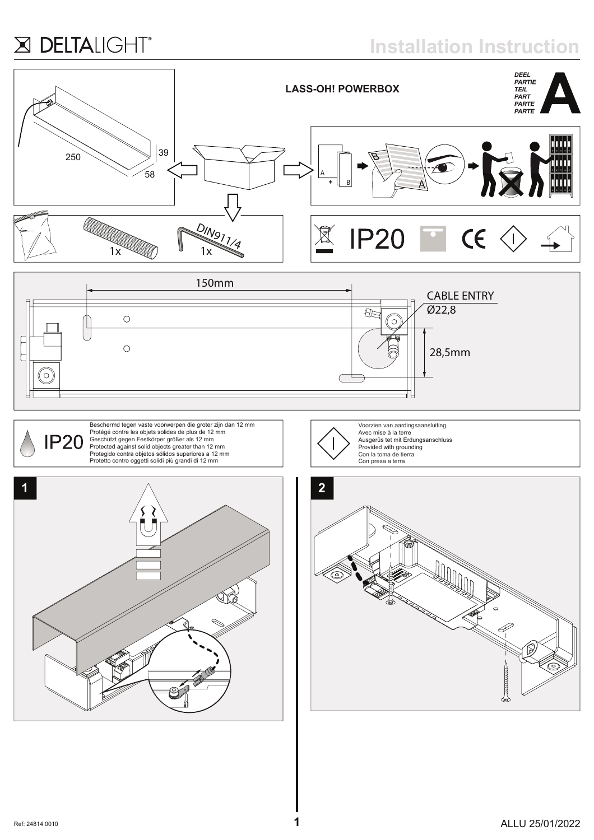## X DELTALIGHT®

**Installation Instruction**







Beschermd tegen vaste voorwerpen die groter zijn dan 12 mm<br>Protégé contre les objets solides de plus de 12 mm<br>Geschützt gegen Festkörper größer als 12 mm<br>Protected against solid objects greater than 12 mm<br>Protegido contra Protetto contro oggetti solidi più grandi di 12 mm





Voorzien van aardingsaansluiting Avec mise à la terre

Ausgerüs tet mit Erdungsanschluss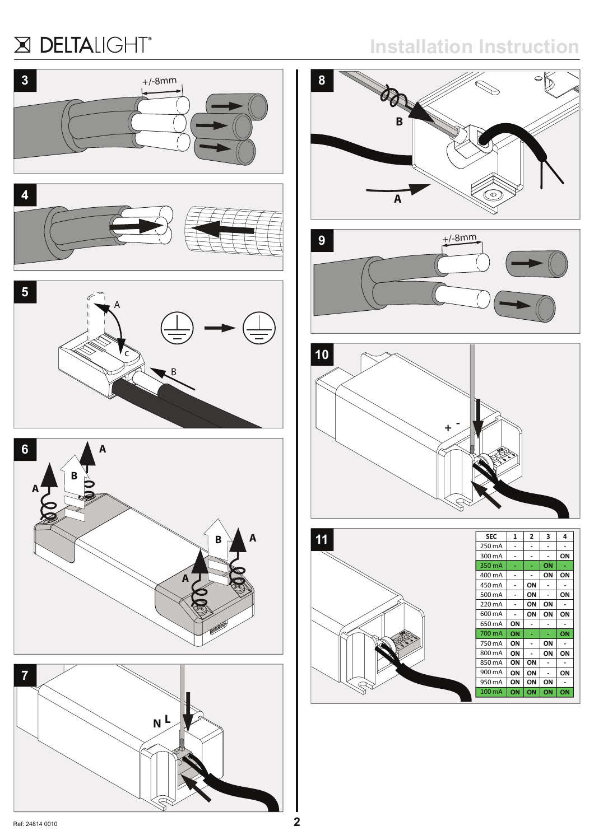## X DELTALIGHT®



**N L**

## **Installation Instruction**









Ref: 24814 0010 **2**